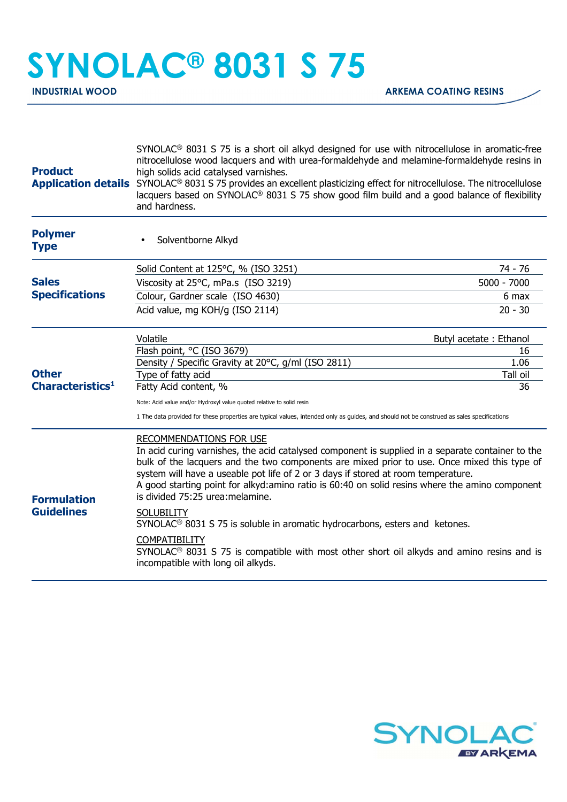## **SYNOLAC® 8031 S 75**

| <b>Product</b>                                                                        | $SYNOLAC®$ 8031 S 75 is a short oil alkyd designed for use with nitrocellulose in aromatic-free<br>nitrocellulose wood lacquers and with urea-formaldehyde and melamine-formaldehyde resins in<br>high solids acid catalysed varnishes.<br>Application details SYNOLAC <sup>®</sup> 8031 S 75 provides an excellent plasticizing effect for nitrocellulose. The nitrocellulose<br>lacquers based on SYNOLAC® 8031 S 75 show good film build and a good balance of flexibility<br>and hardness.                                                                                                                                                                                                                                       |               |
|---------------------------------------------------------------------------------------|--------------------------------------------------------------------------------------------------------------------------------------------------------------------------------------------------------------------------------------------------------------------------------------------------------------------------------------------------------------------------------------------------------------------------------------------------------------------------------------------------------------------------------------------------------------------------------------------------------------------------------------------------------------------------------------------------------------------------------------|---------------|
| <b>Polymer</b><br><b>Type</b>                                                         | Solventborne Alkyd                                                                                                                                                                                                                                                                                                                                                                                                                                                                                                                                                                                                                                                                                                                   |               |
|                                                                                       | Solid Content at 125°C, % (ISO 3251)                                                                                                                                                                                                                                                                                                                                                                                                                                                                                                                                                                                                                                                                                                 | 74 - 76       |
| <b>Sales</b><br><b>Specifications</b><br><b>Other</b><br>Characteristics <sup>1</sup> | Viscosity at 25°C, mPa.s (ISO 3219)                                                                                                                                                                                                                                                                                                                                                                                                                                                                                                                                                                                                                                                                                                  | $5000 - 7000$ |
|                                                                                       | Colour, Gardner scale (ISO 4630)                                                                                                                                                                                                                                                                                                                                                                                                                                                                                                                                                                                                                                                                                                     | 6 max         |
|                                                                                       | Acid value, mg KOH/g (ISO 2114)                                                                                                                                                                                                                                                                                                                                                                                                                                                                                                                                                                                                                                                                                                      | $20 - 30$     |
|                                                                                       | Volatile<br>Butyl acetate: Ethanol                                                                                                                                                                                                                                                                                                                                                                                                                                                                                                                                                                                                                                                                                                   |               |
|                                                                                       | Flash point, °C (ISO 3679)                                                                                                                                                                                                                                                                                                                                                                                                                                                                                                                                                                                                                                                                                                           | 16            |
|                                                                                       | Density / Specific Gravity at 20°C, g/ml (ISO 2811)                                                                                                                                                                                                                                                                                                                                                                                                                                                                                                                                                                                                                                                                                  | 1.06          |
|                                                                                       | Type of fatty acid                                                                                                                                                                                                                                                                                                                                                                                                                                                                                                                                                                                                                                                                                                                   | Tall oil      |
|                                                                                       | Fatty Acid content, %                                                                                                                                                                                                                                                                                                                                                                                                                                                                                                                                                                                                                                                                                                                | 36            |
|                                                                                       | Note: Acid value and/or Hydroxyl value quoted relative to solid resin<br>1 The data provided for these properties are typical values, intended only as guides, and should not be construed as sales specifications                                                                                                                                                                                                                                                                                                                                                                                                                                                                                                                   |               |
| <b>Formulation</b><br><b>Guidelines</b>                                               | RECOMMENDATIONS FOR USE<br>In acid curing varnishes, the acid catalysed component is supplied in a separate container to the<br>bulk of the lacquers and the two components are mixed prior to use. Once mixed this type of<br>system will have a useable pot life of 2 or 3 days if stored at room temperature.<br>A good starting point for alkyd: amino ratio is 60:40 on solid resins where the amino component<br>is divided 75:25 urea: melamine.<br><b>SOLUBILITY</b><br>SYNOLAC <sup>®</sup> 8031 S 75 is soluble in aromatic hydrocarbons, esters and ketones.<br><b>COMPATIBILITY</b><br>$SYNOLAC®$ 8031 S 75 is compatible with most other short oil alkyds and amino resins and is<br>incompatible with long oil alkyds. |               |